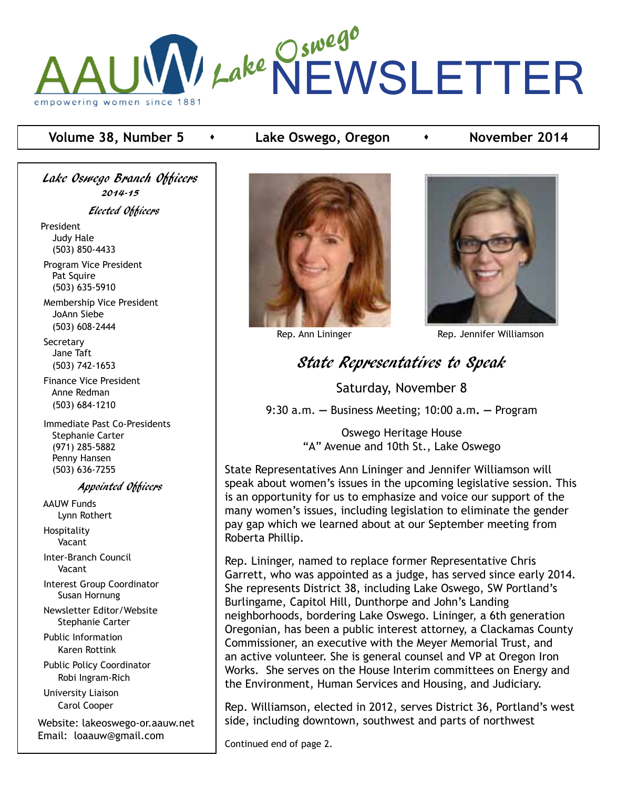

#### **Volume 38, Number 5 •** Lake Oswego, Oregon **•** November 2014

Lake Oswego Branch Officers 2014-15 Elected Officers President Judy Hale (503) 850-4433 Program Vice President Pat Squire

 (503) 635-5910 Membership Vice President JoAnn Siebe (503) 608-2444

 Secretary Jane Taft (503) 742-1653

 Finance Vice President Anne Redman (503) 684-1210

 Immediate Past Co-Presidents Stephanie Carter (971) 285-5882 Penny Hansen (503) 636-7255

#### Appointed Officers

 AAUW Funds Lynn Rothert Hospitality

Vacant

 Inter-Branch Council Vacant

 Interest Group Coordinator Susan Hornung

 Newsletter Editor/Website Stephanie Carter

 Public Information Karen Rottink

 Public Policy Coordinator Robi Ingram-Rich

 University Liaison Carol Cooper

Website: lakeoswego-or.aauw.net Email: loaauw@gmail.com





Rep. Ann Lininger **Rep. Jennifer Williamson** 

# State Representatives to Speak

Saturday, November 8

9:30 a.m. **—** Business Meeting; 10:00 a.m**. —** Program

Oswego Heritage House "A" Avenue and 10th St., Lake Oswego

State Representatives Ann Lininger and Jennifer Williamson will speak about women's issues in the upcoming legislative session. This is an opportunity for us to emphasize and voice our support of the many women's issues, including legislation to eliminate the gender pay gap which we learned about at our September meeting from Roberta Phillip.

Rep. Lininger, named to replace former Representative Chris Garrett, who was appointed as a judge, has served since early 2014. She represents District 38, including Lake Oswego, SW Portland's Burlingame, Capitol Hill, Dunthorpe and John's Landing neighborhoods, bordering Lake Oswego. Lininger, a 6th generation Oregonian, has been a public interest attorney, a Clackamas County Commissioner, an executive with the Meyer Memorial Trust, and an active volunteer. She is general counsel and VP at Oregon Iron Works. She serves on the House Interim committees on Energy and the Environment, Human Services and Housing, and Judiciary.

Rep. Williamson, elected in 2012, serves District 36, Portland's west side, including downtown, southwest and parts of northwest

Continued end of page 2.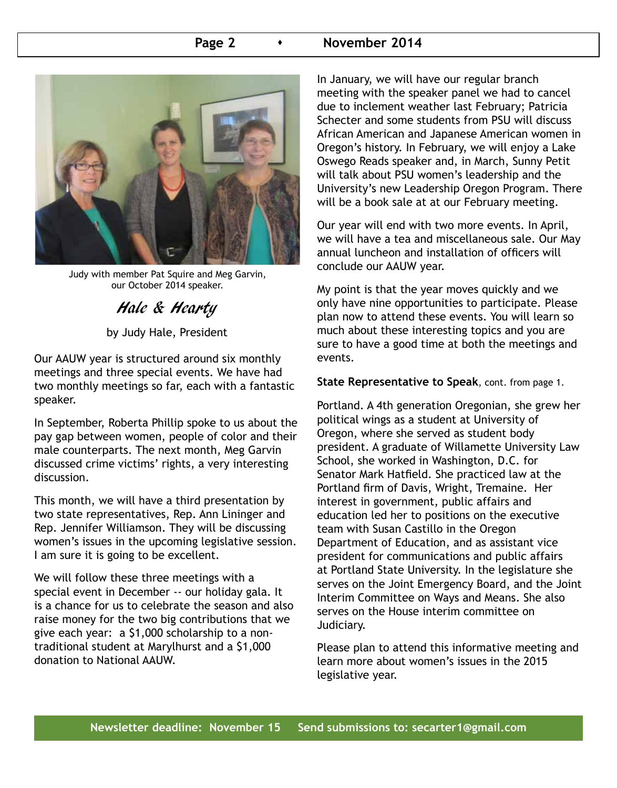#### **Page 2 b Rovember 2014**



Judy with member Pat Squire and Meg Garvin, our October 2014 speaker.

## Hale & Hearty

by Judy Hale, President

Our AAUW year is structured around six monthly meetings and three special events. We have had two monthly meetings so far, each with a fantastic speaker.

In September, Roberta Phillip spoke to us about the pay gap between women, people of color and their male counterparts. The next month, Meg Garvin discussed crime victims' rights, a very interesting discussion.

This month, we will have a third presentation by two state representatives, Rep. Ann Lininger and Rep. Jennifer Williamson. They will be discussing women's issues in the upcoming legislative session. I am sure it is going to be excellent.

We will follow these three meetings with a special event in December -- our holiday gala. It is a chance for us to celebrate the season and also raise money for the two big contributions that we give each year: a \$1,000 scholarship to a nontraditional student at Marylhurst and a \$1,000 donation to National AAUW.

In January, we will have our regular branch meeting with the speaker panel we had to cancel due to inclement weather last February; Patricia Schecter and some students from PSU will discuss African American and Japanese American women in Oregon's history. In February, we will enjoy a Lake Oswego Reads speaker and, in March, Sunny Petit will talk about PSU women's leadership and the University's new Leadership Oregon Program. There will be a book sale at at our February meeting.

Our year will end with two more events. In April, we will have a tea and miscellaneous sale. Our May annual luncheon and installation of officers will conclude our AAUW year.

My point is that the year moves quickly and we only have nine opportunities to participate. Please plan now to attend these events. You will learn so much about these interesting topics and you are sure to have a good time at both the meetings and events.

**State Representative to Speak**, cont. from page 1.

Portland. A 4th generation Oregonian, she grew her political wings as a student at University of Oregon, where she served as student body president. A graduate of Willamette University Law School, she worked in Washington, D.C. for Senator Mark Hatfield. She practiced law at the Portland firm of Davis, Wright, Tremaine. Her interest in government, public affairs and education led her to positions on the executive team with Susan Castillo in the Oregon Department of Education, and as assistant vice president for communications and public affairs at Portland State University. In the legislature she serves on the Joint Emergency Board, and the Joint Interim Committee on Ways and Means. She also serves on the House interim committee on Judiciary.

Please plan to attend this informative meeting and learn more about women's issues in the 2015 legislative year.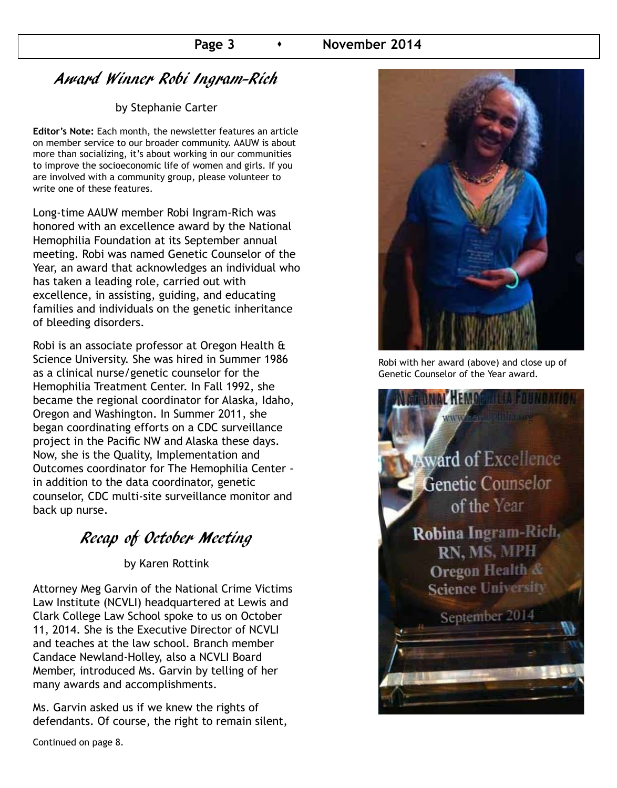# Award Winner Robi Ingram-Rich

#### by Stephanie Carter

**Editor's Note:** Each month, the newsletter features an article on member service to our broader community. AAUW is about more than socializing, it's about working in our communities to improve the socioeconomic life of women and girls. If you are involved with a community group, please volunteer to write one of these features.

Long-time AAUW member Robi Ingram-Rich was honored with an excellence award by the National Hemophilia Foundation at its September annual meeting. Robi was named Genetic Counselor of the Year, an award that acknowledges an individual who has taken a leading role, carried out with excellence, in assisting, guiding, and educating families and individuals on the genetic inheritance of bleeding disorders.

Robi is an associate professor at Oregon Health & Science University. She was hired in Summer 1986 as a clinical nurse/genetic counselor for the Hemophilia Treatment Center. In Fall 1992, she became the regional coordinator for Alaska, Idaho, Oregon and Washington. In Summer 2011, she began coordinating efforts on a CDC surveillance project in the Pacific NW and Alaska these days. Now, she is the Quality, Implementation and Outcomes coordinator for The Hemophilia Center in addition to the data coordinator, genetic counselor, CDC multi-site surveillance monitor and back up nurse.

# Recap of October Meeting

by Karen Rottink

Attorney Meg Garvin of the National Crime Victims Law Institute (NCVLI) headquartered at Lewis and Clark College Law School spoke to us on October 11, 2014. She is the Executive Director of NCVLI and teaches at the law school. Branch member Candace Newland-Holley, also a NCVLI Board Member, introduced Ms. Garvin by telling of her many awards and accomplishments.

Ms. Garvin asked us if we knew the rights of defendants. Of course, the right to remain silent,

Continued on page 8.



Robi with her award (above) and close up of Genetic Counselor of the Year award.

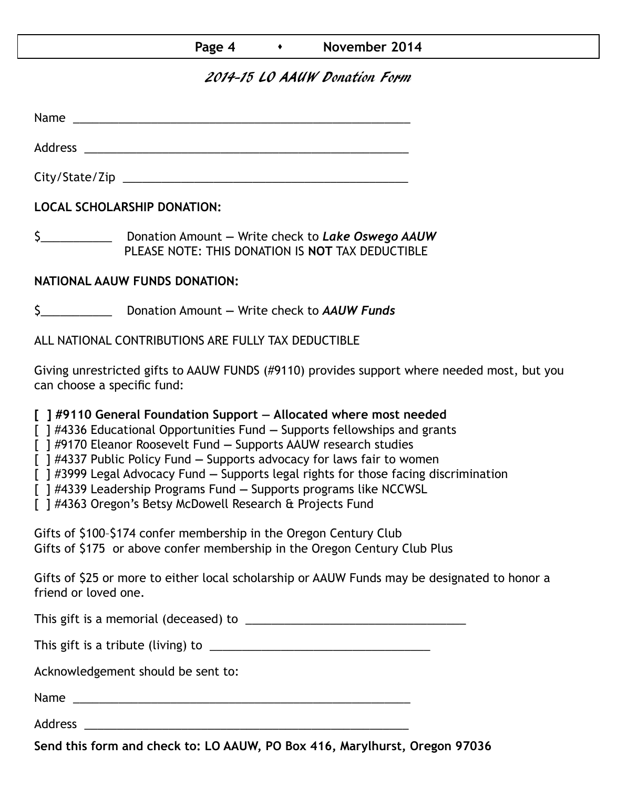| Page 4 | November 2014 |
|--------|---------------|
|--------|---------------|

## 2014-15 LO AAUW Donation Form

Name was also as a set of  $\sim$  10  $\mu$  m  $\sim$  10  $\mu$  m  $\sim$  10  $\mu$  m  $\sim$  10  $\mu$  m  $\sim$  10  $\mu$  m  $\sim$  10  $\mu$  m  $\sim$  10  $\mu$  m  $\sim$  10  $\mu$  m  $\sim$  10  $\mu$  m  $\sim$  10  $\mu$  m  $\sim$  10  $\mu$  m  $\sim$  10  $\mu$  m  $\sim$  10  $\mu$  m

Address \_\_\_\_\_\_\_\_\_\_\_\_\_\_\_\_\_\_\_\_\_\_\_\_\_\_\_\_\_\_\_\_\_\_\_\_\_\_\_\_\_\_\_\_\_\_\_\_\_\_

City/State/Zip \_\_\_\_\_\_\_\_\_\_\_\_\_\_\_\_\_\_\_\_\_\_\_\_\_\_\_\_\_\_\_\_\_\_\_\_\_\_\_\_\_\_\_\_

**LOCAL SCHOLARSHIP DONATION:**

\$\_\_\_\_\_\_\_\_\_\_\_ Donation Amount **—** Write check to *Lake Oswego AAUW* PLEASE NOTE: THIS DONATION IS **NOT** TAX DEDUCTIBLE

## **NATIONAL AAUW FUNDS DONATION:**

\$\_\_\_\_\_\_\_\_\_\_\_ Donation Amount **—** Write check to *AAUW Funds*

ALL NATIONAL CONTRIBUTIONS ARE FULLY TAX DEDUCTIBLE

Giving unrestricted gifts to AAUW FUNDS (#9110) provides support where needed most, but you can choose a specific fund:

**[ ] #9110 General Foundation Support — Allocated where most needed** 

[ ] #4336 Educational Opportunities Fund **—** Supports fellowships and grants

[ ] #9170 Eleanor Roosevelt Fund **—** Supports AAUW research studies

[ ] #4337 Public Policy Fund **—** Supports advocacy for laws fair to women

[ ] #3999 Legal Advocacy Fund **—** Supports legal rights for those facing discrimination

[ ] #4339 Leadership Programs Fund **—** Supports programs like NCCWSL

[ ] #4363 Oregon's Betsy McDowell Research & Projects Fund

Gifts of \$100–\$174 confer membership in the Oregon Century Club Gifts of \$175 or above confer membership in the Oregon Century Club Plus

Gifts of \$25 or more to either local scholarship or AAUW Funds may be designated to honor a friend or loved one.

This gift is a memorial (deceased) to \_\_\_\_\_\_\_\_\_\_\_\_\_\_\_\_\_\_\_\_\_\_\_\_\_\_\_\_\_\_\_\_\_\_

This gift is a tribute (living) to \_\_\_\_\_\_\_\_\_\_\_\_\_\_\_\_\_\_\_\_\_\_\_\_\_\_\_\_\_\_\_\_\_\_

Acknowledgement should be sent to:

Name \_\_\_\_\_\_\_\_\_\_\_\_\_\_\_\_\_\_\_\_\_\_\_\_\_\_\_\_\_\_\_\_\_\_\_\_\_\_\_\_\_\_\_\_\_\_\_\_\_\_\_\_

Address \_\_\_\_\_\_\_\_\_\_\_\_\_\_\_\_\_\_\_\_\_\_\_\_\_\_\_\_\_\_\_\_\_\_\_\_\_\_\_\_\_\_\_\_\_\_\_\_\_\_

**Send this form and check to: LO AAUW, PO Box 416, Marylhurst, Oregon 97036**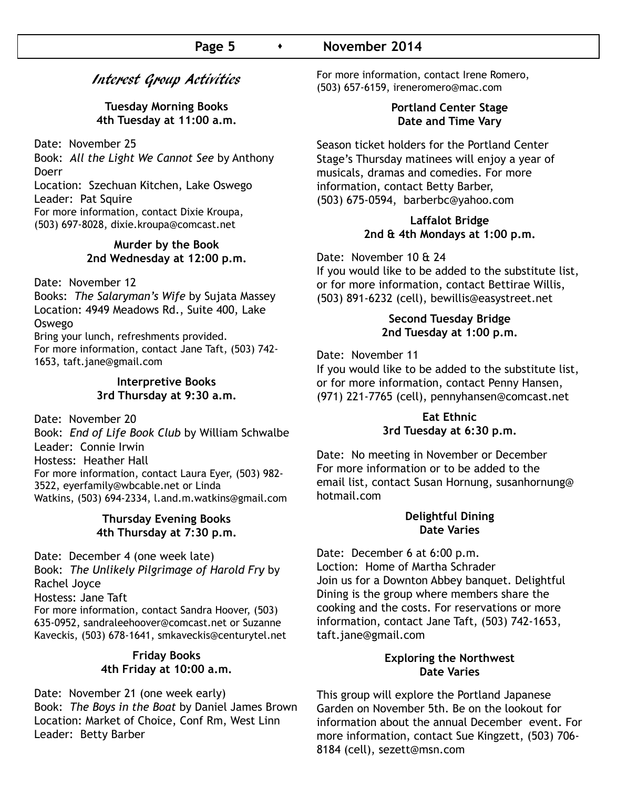## Interest Group Activities

#### **Tuesday Morning Books 4th Tuesday at 11:00 a.m.**

Date: November 25

Book: *All the Light We Cannot See* by Anthony Doerr

Location: Szechuan Kitchen, Lake Oswego Leader: Pat Squire For more information, contact Dixie Kroupa, (503) 697-8028, dixie.kroupa@comcast.net

#### **Murder by the Book 2nd Wednesday at 12:00 p.m.**

Date: November 12

Books: *The Salaryman's Wife* by Sujata Massey Location: 4949 Meadows Rd., Suite 400, Lake Oswego Bring your lunch, refreshments provided. For more information, contact Jane Taft, (503) 742- 1653, taft.jane@gmail.com

**Interpretive Books**

**3rd Thursday at 9:30 a.m.**

Date: November 20 Book: *End of Life Book Club* by William Schwalbe Leader: Connie Irwin Hostess: Heather Hall For more information, contact Laura Eyer, (503) 982- 3522, eyerfamily@wbcable.net or Linda Watkins, (503) 694-2334, l.and.m.watkins@gmail.com

#### **Thursday Evening Books 4th Thursday at 7:30 p.m.**

Date: December 4 (one week late)

Book: *The Unlikely Pilgrimage of Harold Fry* by Rachel Joyce

Hostess: Jane Taft

For more information, contact Sandra Hoover, (503) 635-0952, sandraleehoover@comcast.net or Suzanne Kaveckis, (503) 678-1641, smkaveckis@centurytel.net

#### **Friday Books 4th Friday at 10:00 a.m.**

Date: November 21 (one week early) Book: *The Boys in the Boat* by Daniel James Brown Location: Market of Choice, Conf Rm, West Linn Leader: Betty Barber

For more information, contact Irene Romero, (503) 657-6159, ireneromero@mac.com

#### **Portland Center Stage Date and Time Vary**

Season ticket holders for the Portland Center Stage's Thursday matinees will enjoy a year of musicals, dramas and comedies. For more information, contact Betty Barber, (503) 675-0594, barberbc@yahoo.com

#### **Laffalot Bridge 2nd & 4th Mondays at 1:00 p.m.**

Date: November 10 & 24

If you would like to be added to the substitute list, or for more information, contact Bettirae Willis, (503) 891-6232 (cell), bewillis@easystreet.net

#### **Second Tuesday Bridge 2nd Tuesday at 1:00 p.m.**

Date: November 11

If you would like to be added to the substitute list, or for more information, contact Penny Hansen, (971) 221-7765 (cell), pennyhansen@comcast.net

#### **Eat Ethnic 3rd Tuesday at 6:30 p.m.**

Date: No meeting in November or December For more information or to be added to the email list, contact Susan Hornung, susanhornung@ hotmail.com

#### **Delightful Dining Date Varies**

Date: December 6 at 6:00 p.m. Loction: Home of Martha Schrader Join us for a Downton Abbey banquet. Delightful Dining is the group where members share the cooking and the costs. For reservations or more information, contact Jane Taft, (503) 742-1653, taft.jane@gmail.com

#### **Exploring the Northwest Date Varies**

This group will explore the Portland Japanese Garden on November 5th. Be on the lookout for information about the annual December event. For more information, contact Sue Kingzett, (503) 706- 8184 (cell), sezett@msn.com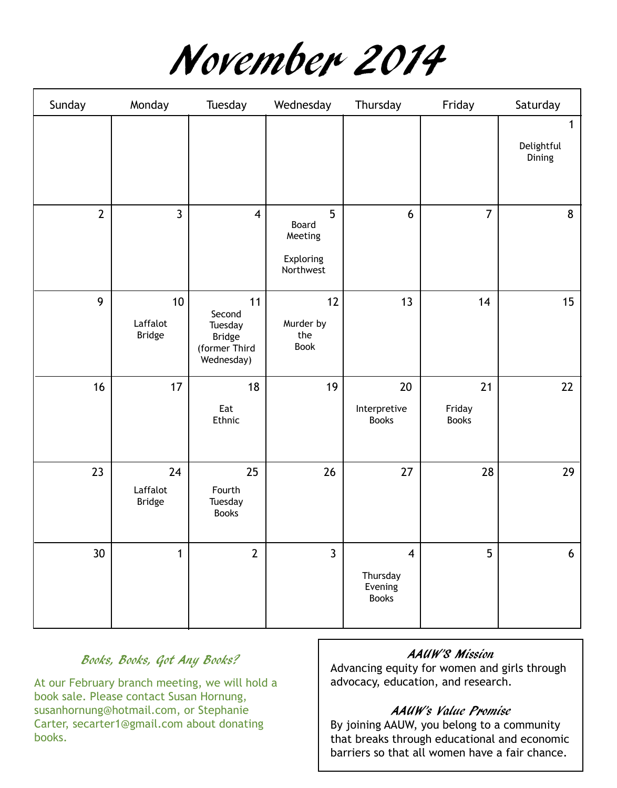November 2014

| Sunday          | Monday                          | Tuesday                                                                 | Wednesday                                       | Thursday                                              | Friday                       | Saturday                  |
|-----------------|---------------------------------|-------------------------------------------------------------------------|-------------------------------------------------|-------------------------------------------------------|------------------------------|---------------------------|
|                 |                                 |                                                                         |                                                 |                                                       |                              | 1<br>Delightful<br>Dining |
| $\overline{2}$  | $\mathbf{3}$                    | $\overline{\mathbf{4}}$                                                 | 5<br>Board<br>Meeting<br>Exploring<br>Northwest | 6                                                     | $\overline{7}$               | 8                         |
| 9               | 10<br>Laffalot<br><b>Bridge</b> | 11<br>Second<br>Tuesday<br><b>Bridge</b><br>(former Third<br>Wednesday) | 12<br>Murder by<br>the<br>Book                  | 13                                                    | 14                           | 15                        |
| 16              | 17                              | 18<br>Eat<br>Ethnic                                                     | 19                                              | 20<br>Interpretive<br><b>Books</b>                    | 21<br>Friday<br><b>Books</b> | 22                        |
| 23              | 24<br>Laffalot<br><b>Bridge</b> | 25<br>Fourth<br>Tuesday<br><b>Books</b>                                 | 26                                              | 27                                                    | 28                           | 29                        |
| 30 <sup>°</sup> | $\mathbf{1}$                    | $\overline{2}$                                                          | $\overline{3}$                                  | $\overline{4}$<br>Thursday<br>Evening<br><b>Books</b> | 5 <sup>5</sup>               | $6\phantom{.}6$           |

## Books, Books, Got Any Books?

At our February branch meeting, we will hold a book sale. Please contact Susan Hornung, susanhornung@hotmail.com, or Stephanie Carter, secarter1@gmail.com about donating books.

#### AAUW'S Mission

Advancing equity for women and girls through advocacy, education, and research.

#### AAUW's Value Promise

By joining AAUW, you belong to a community that breaks through educational and economic barriers so that all women have a fair chance.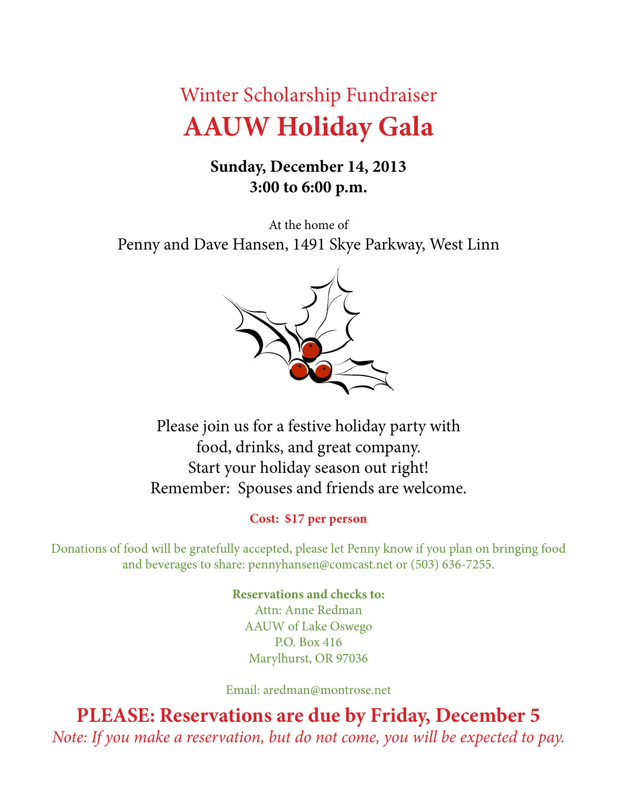# Winter Scholarship Fundraiser **AAUW Holiday Gala**

# **Sunday, December 14, 2013 3:00 to 6:00 p.m.**

At the home of Penny and Dave Hansen, 1491 Skye Parkway, West Linn



Please join us for a festive holiday party with food, drinks, and great company. Start your holiday season out right! Remember: Spouses and friends are welcome.

## **Cost: \$17 per person**

Donations of food will be gratefully accepted, please let Penny know if you plan on bringing food and beverages to share: pennyhansen@comcast.net or (503) 636-7255.

> **Reservations and checks to:** Attn: Anne Redman AAUW of Lake Oswego P.O. Box 416 Marylhurst, OR 97036

Email: aredman@montrose.net

**PLEASE: Reservations are due by Friday, December 5** *Note: If you make a reservation, but do not come, you will be expected to pay.*